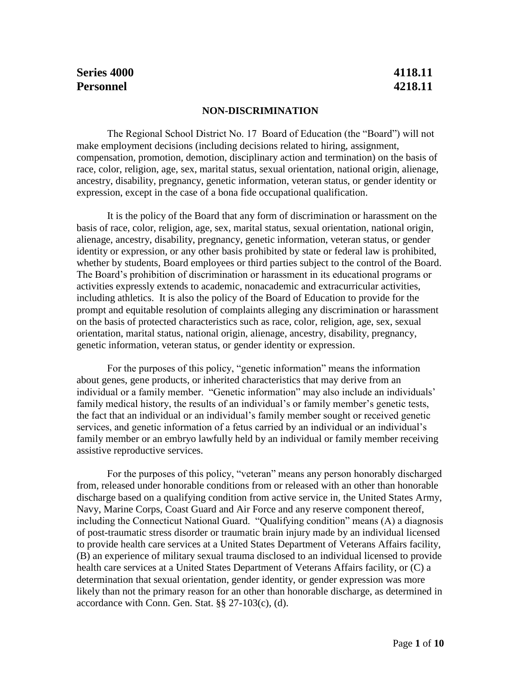# **Series 4000 4118.11 Personnel 4218.11**

#### **NON-DISCRIMINATION**

The Regional School District No. 17 Board of Education (the "Board") will not make employment decisions (including decisions related to hiring, assignment, compensation, promotion, demotion, disciplinary action and termination) on the basis of race, color, religion, age, sex, marital status, sexual orientation, national origin, alienage, ancestry, disability, pregnancy, genetic information, veteran status, or gender identity or expression, except in the case of a bona fide occupational qualification.

It is the policy of the Board that any form of discrimination or harassment on the basis of race, color, religion, age, sex, marital status, sexual orientation, national origin, alienage, ancestry, disability, pregnancy, genetic information, veteran status, or gender identity or expression, or any other basis prohibited by state or federal law is prohibited, whether by students, Board employees or third parties subject to the control of the Board. The Board's prohibition of discrimination or harassment in its educational programs or activities expressly extends to academic, nonacademic and extracurricular activities, including athletics. It is also the policy of the Board of Education to provide for the prompt and equitable resolution of complaints alleging any discrimination or harassment on the basis of protected characteristics such as race, color, religion, age, sex, sexual orientation, marital status, national origin, alienage, ancestry, disability, pregnancy, genetic information, veteran status, or gender identity or expression.

For the purposes of this policy, "genetic information" means the information about genes, gene products, or inherited characteristics that may derive from an individual or a family member. "Genetic information" may also include an individuals' family medical history, the results of an individual's or family member's genetic tests, the fact that an individual or an individual's family member sought or received genetic services, and genetic information of a fetus carried by an individual or an individual's family member or an embryo lawfully held by an individual or family member receiving assistive reproductive services.

For the purposes of this policy, "veteran" means any person honorably discharged from, released under honorable conditions from or released with an other than honorable discharge based on a qualifying condition from active service in, the United States Army, Navy, Marine Corps, Coast Guard and Air Force and any reserve component thereof, including the Connecticut National Guard. "Qualifying condition" means (A) a diagnosis of post-traumatic stress disorder or traumatic brain injury made by an individual licensed to provide health care services at a United States Department of Veterans Affairs facility, (B) an experience of military sexual trauma disclosed to an individual licensed to provide health care services at a United States Department of Veterans Affairs facility, or (C) a determination that sexual orientation, gender identity, or gender expression was more likely than not the primary reason for an other than honorable discharge, as determined in accordance with Conn. Gen. Stat. §§ 27-103(c), (d).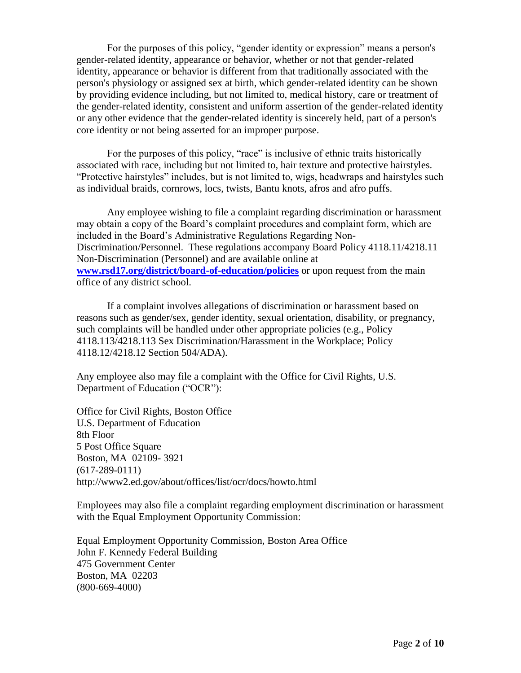For the purposes of this policy, "gender identity or expression" means a person's gender-related identity, appearance or behavior, whether or not that gender-related identity, appearance or behavior is different from that traditionally associated with the person's physiology or assigned sex at birth, which gender-related identity can be shown by providing evidence including, but not limited to, medical history, care or treatment of the gender-related identity, consistent and uniform assertion of the gender-related identity or any other evidence that the gender-related identity is sincerely held, part of a person's core identity or not being asserted for an improper purpose.

For the purposes of this policy, "race" is inclusive of ethnic traits historically associated with race, including but not limited to, hair texture and protective hairstyles. "Protective hairstyles" includes, but is not limited to, wigs, headwraps and hairstyles such as individual braids, cornrows, locs, twists, Bantu knots, afros and afro puffs.

Any employee wishing to file a complaint regarding discrimination or harassment may obtain a copy of the Board's complaint procedures and complaint form, which are included in the Board's Administrative Regulations Regarding Non-Discrimination/Personnel. These regulations accompany Board Policy 4118.11/4218.11 Non-Discrimination (Personnel) and are available online at **[www.rsd17.org/district/board-of-education/policies](http://www.rsd17.org/district/board-of-education/policies)** or upon request from the main office of any district school.

If a complaint involves allegations of discrimination or harassment based on reasons such as gender/sex, gender identity, sexual orientation, disability, or pregnancy, such complaints will be handled under other appropriate policies (e.g., Policy 4118.113/4218.113 Sex Discrimination/Harassment in the Workplace; Policy 4118.12/4218.12 Section 504/ADA).

Any employee also may file a complaint with the Office for Civil Rights, U.S. Department of Education ("OCR"):

Office for Civil Rights, Boston Office U.S. Department of Education 8th Floor 5 Post Office Square Boston, MA 02109- 3921 (617-289-0111) http://www2.ed.gov/about/offices/list/ocr/docs/howto.html

Employees may also file a complaint regarding employment discrimination or harassment with the Equal Employment Opportunity Commission:

Equal Employment Opportunity Commission, Boston Area Office John F. Kennedy Federal Building 475 Government Center Boston, MA 02203 (800-669-4000)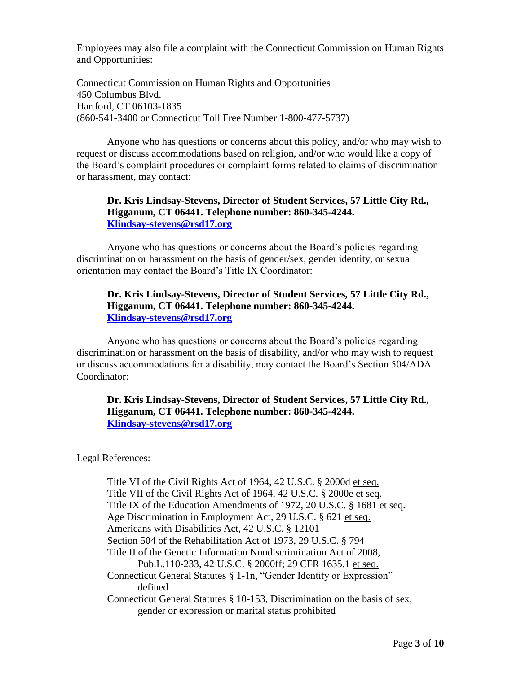Employees may also file a complaint with the Connecticut Commission on Human Rights and Opportunities:

Connecticut Commission on Human Rights and Opportunities 450 Columbus Blvd. Hartford, CT 06103-1835 (860-541-3400 or Connecticut Toll Free Number 1-800-477-5737)

Anyone who has questions or concerns about this policy, and/or who may wish to request or discuss accommodations based on religion, and/or who would like a copy of the Board's complaint procedures or complaint forms related to claims of discrimination or harassment, may contact:

#### **Dr. Kris Lindsay-Stevens, Director of Student Services, 57 Little City Rd., Higganum, CT 06441. Telephone number: 860-345-4244. [Klindsay-stevens@rsd17.org](mailto:Klindsay-stevens@rsd17.org)**

Anyone who has questions or concerns about the Board's policies regarding discrimination or harassment on the basis of gender/sex, gender identity, or sexual orientation may contact the Board's Title IX Coordinator:

#### **Dr. Kris Lindsay-Stevens, Director of Student Services, 57 Little City Rd., Higganum, CT 06441. Telephone number: 860-345-4244. [Klindsay-stevens@rsd17.org](mailto:Klindsay-stevens@rsd17.org)**

Anyone who has questions or concerns about the Board's policies regarding discrimination or harassment on the basis of disability, and/or who may wish to request or discuss accommodations for a disability, may contact the Board's Section 504/ADA Coordinator:

## **Dr. Kris Lindsay-Stevens, Director of Student Services, 57 Little City Rd., Higganum, CT 06441. Telephone number: 860-345-4244. [Klindsay-stevens@rsd17.org](mailto:Klindsay-stevens@rsd17.org)**

Legal References:

Title VI of the Civil Rights Act of 1964, 42 U.S.C. § 2000d et seq. Title VII of the Civil Rights Act of 1964, 42 U.S.C. § 2000e et seq. Title IX of the Education Amendments of 1972, 20 U.S.C. § 1681 et seq. Age Discrimination in Employment Act, 29 U.S.C. § 621 et seq. Americans with Disabilities Act, 42 U.S.C. § 12101 Section 504 of the Rehabilitation Act of 1973, 29 U.S.C. § 794 Title II of the Genetic Information Nondiscrimination Act of 2008, Pub.L.110-233, 42 U.S.C. § 2000ff; 29 CFR 1635.1 et seq. Connecticut General Statutes § 1-1n, "Gender Identity or Expression" defined Connecticut General Statutes § 10-153, Discrimination on the basis of sex, gender or expression or marital status prohibited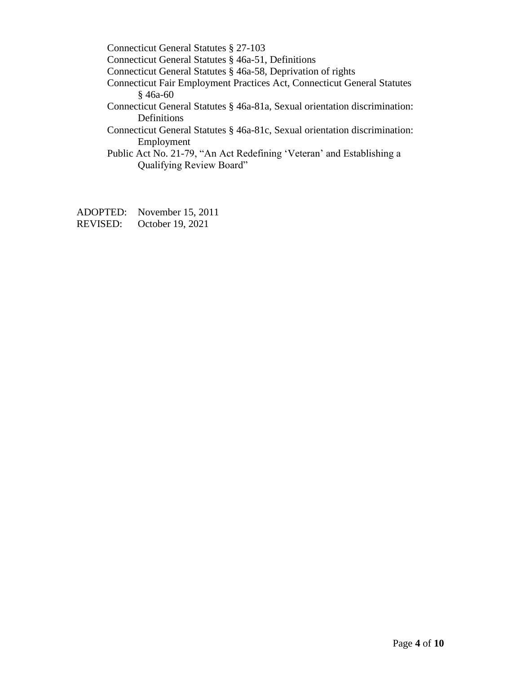Connecticut General Statutes § 27-103

Connecticut General Statutes § 46a-51, Definitions

Connecticut General Statutes § 46a-58, Deprivation of rights

Connecticut Fair Employment Practices Act, Connecticut General Statutes § 46a-60

Connecticut General Statutes § 46a-81a, Sexual orientation discrimination: Definitions

Connecticut General Statutes § 46a-81c, Sexual orientation discrimination: Employment

Public Act No. 21-79, "An Act Redefining 'Veteran' and Establishing a Qualifying Review Board"

ADOPTED: November 15, 2011 REVISED: October 19, 2021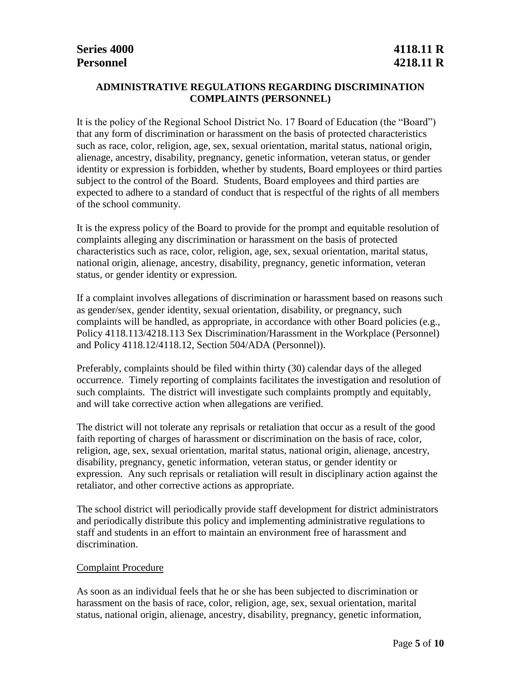## **ADMINISTRATIVE REGULATIONS REGARDING DISCRIMINATION COMPLAINTS (PERSONNEL)**

It is the policy of the Regional School District No. 17 Board of Education (the "Board") that any form of discrimination or harassment on the basis of protected characteristics such as race, color, religion, age, sex, sexual orientation, marital status, national origin, alienage, ancestry, disability, pregnancy, genetic information, veteran status, or gender identity or expression is forbidden, whether by students, Board employees or third parties subject to the control of the Board. Students, Board employees and third parties are expected to adhere to a standard of conduct that is respectful of the rights of all members of the school community.

It is the express policy of the Board to provide for the prompt and equitable resolution of complaints alleging any discrimination or harassment on the basis of protected characteristics such as race, color, religion, age, sex, sexual orientation, marital status, national origin, alienage, ancestry, disability, pregnancy, genetic information, veteran status, or gender identity or expression.

If a complaint involves allegations of discrimination or harassment based on reasons such as gender/sex, gender identity, sexual orientation, disability, or pregnancy, such complaints will be handled, as appropriate, in accordance with other Board policies (e.g., Policy 4118.113/4218.113 Sex Discrimination/Harassment in the Workplace (Personnel) and Policy 4118.12/4118.12, Section 504/ADA (Personnel)).

Preferably, complaints should be filed within thirty (30) calendar days of the alleged occurrence. Timely reporting of complaints facilitates the investigation and resolution of such complaints. The district will investigate such complaints promptly and equitably, and will take corrective action when allegations are verified.

The district will not tolerate any reprisals or retaliation that occur as a result of the good faith reporting of charges of harassment or discrimination on the basis of race, color, religion, age, sex, sexual orientation, marital status, national origin, alienage, ancestry, disability, pregnancy, genetic information, veteran status, or gender identity or expression. Any such reprisals or retaliation will result in disciplinary action against the retaliator, and other corrective actions as appropriate.

The school district will periodically provide staff development for district administrators and periodically distribute this policy and implementing administrative regulations to staff and students in an effort to maintain an environment free of harassment and discrimination.

#### Complaint Procedure

As soon as an individual feels that he or she has been subjected to discrimination or harassment on the basis of race, color, religion, age, sex, sexual orientation, marital status, national origin, alienage, ancestry, disability, pregnancy, genetic information,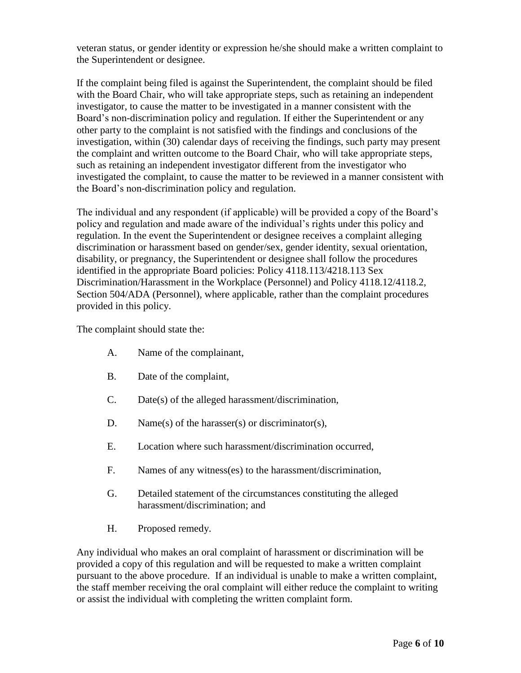veteran status, or gender identity or expression he/she should make a written complaint to the Superintendent or designee.

If the complaint being filed is against the Superintendent, the complaint should be filed with the Board Chair, who will take appropriate steps, such as retaining an independent investigator, to cause the matter to be investigated in a manner consistent with the Board's non-discrimination policy and regulation. If either the Superintendent or any other party to the complaint is not satisfied with the findings and conclusions of the investigation, within (30) calendar days of receiving the findings, such party may present the complaint and written outcome to the Board Chair, who will take appropriate steps, such as retaining an independent investigator different from the investigator who investigated the complaint, to cause the matter to be reviewed in a manner consistent with the Board's non-discrimination policy and regulation.

The individual and any respondent (if applicable) will be provided a copy of the Board's policy and regulation and made aware of the individual's rights under this policy and regulation. In the event the Superintendent or designee receives a complaint alleging discrimination or harassment based on gender/sex, gender identity, sexual orientation, disability, or pregnancy, the Superintendent or designee shall follow the procedures identified in the appropriate Board policies: Policy 4118.113/4218.113 Sex Discrimination/Harassment in the Workplace (Personnel) and Policy 4118.12/4118.2, Section 504/ADA (Personnel), where applicable, rather than the complaint procedures provided in this policy.

The complaint should state the:

- A. Name of the complainant,
- B. Date of the complaint,
- C. Date(s) of the alleged harassment/discrimination,
- D. Name(s) of the harasser(s) or discriminator(s),
- E. Location where such harassment/discrimination occurred,
- F. Names of any witness(es) to the harassment/discrimination,
- G. Detailed statement of the circumstances constituting the alleged harassment/discrimination; and
- H. Proposed remedy.

Any individual who makes an oral complaint of harassment or discrimination will be provided a copy of this regulation and will be requested to make a written complaint pursuant to the above procedure. If an individual is unable to make a written complaint, the staff member receiving the oral complaint will either reduce the complaint to writing or assist the individual with completing the written complaint form.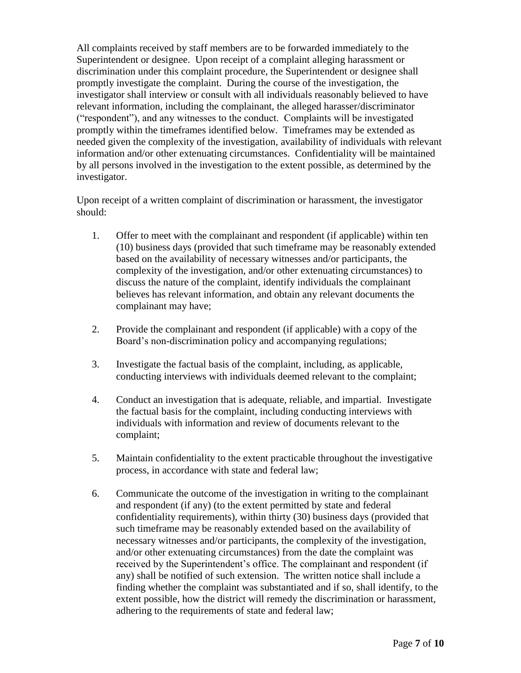All complaints received by staff members are to be forwarded immediately to the Superintendent or designee. Upon receipt of a complaint alleging harassment or discrimination under this complaint procedure, the Superintendent or designee shall promptly investigate the complaint. During the course of the investigation, the investigator shall interview or consult with all individuals reasonably believed to have relevant information, including the complainant, the alleged harasser/discriminator ("respondent"), and any witnesses to the conduct. Complaints will be investigated promptly within the timeframes identified below. Timeframes may be extended as needed given the complexity of the investigation, availability of individuals with relevant information and/or other extenuating circumstances. Confidentiality will be maintained by all persons involved in the investigation to the extent possible, as determined by the investigator.

Upon receipt of a written complaint of discrimination or harassment, the investigator should:

- 1. Offer to meet with the complainant and respondent (if applicable) within ten (10) business days (provided that such timeframe may be reasonably extended based on the availability of necessary witnesses and/or participants, the complexity of the investigation, and/or other extenuating circumstances) to discuss the nature of the complaint, identify individuals the complainant believes has relevant information, and obtain any relevant documents the complainant may have;
- 2. Provide the complainant and respondent (if applicable) with a copy of the Board's non-discrimination policy and accompanying regulations;
- 3. Investigate the factual basis of the complaint, including, as applicable, conducting interviews with individuals deemed relevant to the complaint;
- 4. Conduct an investigation that is adequate, reliable, and impartial. Investigate the factual basis for the complaint, including conducting interviews with individuals with information and review of documents relevant to the complaint;
- 5. Maintain confidentiality to the extent practicable throughout the investigative process, in accordance with state and federal law;
- 6. Communicate the outcome of the investigation in writing to the complainant and respondent (if any) (to the extent permitted by state and federal confidentiality requirements), within thirty (30) business days (provided that such timeframe may be reasonably extended based on the availability of necessary witnesses and/or participants, the complexity of the investigation, and/or other extenuating circumstances) from the date the complaint was received by the Superintendent's office. The complainant and respondent (if any) shall be notified of such extension. The written notice shall include a finding whether the complaint was substantiated and if so, shall identify, to the extent possible, how the district will remedy the discrimination or harassment, adhering to the requirements of state and federal law;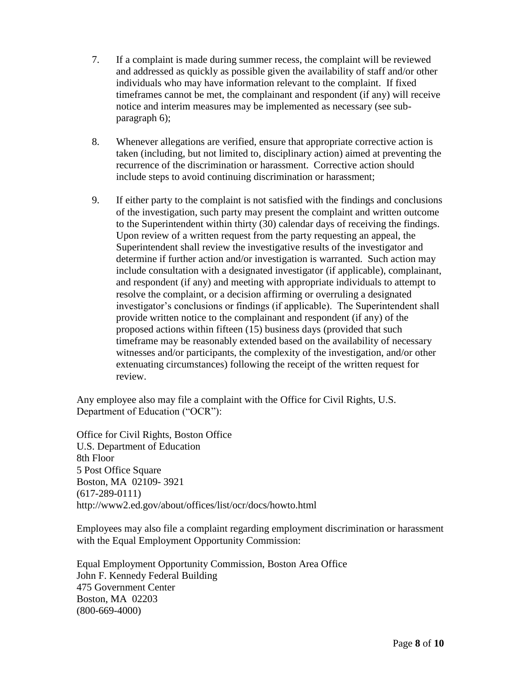- 7. If a complaint is made during summer recess, the complaint will be reviewed and addressed as quickly as possible given the availability of staff and/or other individuals who may have information relevant to the complaint. If fixed timeframes cannot be met, the complainant and respondent (if any) will receive notice and interim measures may be implemented as necessary (see subparagraph 6);
- 8. Whenever allegations are verified, ensure that appropriate corrective action is taken (including, but not limited to, disciplinary action) aimed at preventing the recurrence of the discrimination or harassment. Corrective action should include steps to avoid continuing discrimination or harassment;
- 9. If either party to the complaint is not satisfied with the findings and conclusions of the investigation, such party may present the complaint and written outcome to the Superintendent within thirty (30) calendar days of receiving the findings. Upon review of a written request from the party requesting an appeal, the Superintendent shall review the investigative results of the investigator and determine if further action and/or investigation is warranted. Such action may include consultation with a designated investigator (if applicable), complainant, and respondent (if any) and meeting with appropriate individuals to attempt to resolve the complaint, or a decision affirming or overruling a designated investigator's conclusions or findings (if applicable). The Superintendent shall provide written notice to the complainant and respondent (if any) of the proposed actions within fifteen (15) business days (provided that such timeframe may be reasonably extended based on the availability of necessary witnesses and/or participants, the complexity of the investigation, and/or other extenuating circumstances) following the receipt of the written request for review.

Any employee also may file a complaint with the Office for Civil Rights, U.S. Department of Education ("OCR"):

Office for Civil Rights, Boston Office U.S. Department of Education 8th Floor 5 Post Office Square Boston, MA 02109- 3921 (617-289-0111) http://www2.ed.gov/about/offices/list/ocr/docs/howto.html

Employees may also file a complaint regarding employment discrimination or harassment with the Equal Employment Opportunity Commission:

Equal Employment Opportunity Commission, Boston Area Office John F. Kennedy Federal Building 475 Government Center Boston, MA 02203 (800-669-4000)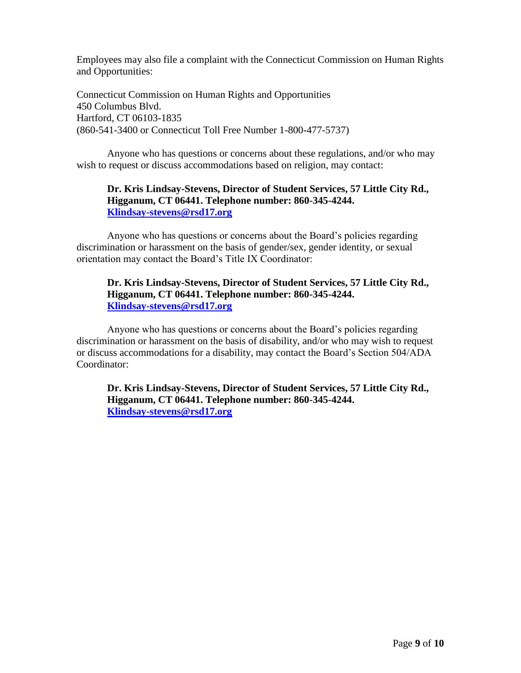Employees may also file a complaint with the Connecticut Commission on Human Rights and Opportunities:

Connecticut Commission on Human Rights and Opportunities 450 Columbus Blvd. Hartford, CT 06103-1835 (860-541-3400 or Connecticut Toll Free Number 1-800-477-5737)

Anyone who has questions or concerns about these regulations, and/or who may wish to request or discuss accommodations based on religion, may contact:

## **Dr. Kris Lindsay-Stevens, Director of Student Services, 57 Little City Rd., Higganum, CT 06441. Telephone number: 860-345-4244. [Klindsay-stevens@rsd17.org](mailto:Klindsay-stevens@rsd17.org)**

Anyone who has questions or concerns about the Board's policies regarding discrimination or harassment on the basis of gender/sex, gender identity, or sexual orientation may contact the Board's Title IX Coordinator:

#### **Dr. Kris Lindsay-Stevens, Director of Student Services, 57 Little City Rd., Higganum, CT 06441. Telephone number: 860-345-4244. [Klindsay-stevens@rsd17.org](mailto:Klindsay-stevens@rsd17.org)**

Anyone who has questions or concerns about the Board's policies regarding discrimination or harassment on the basis of disability, and/or who may wish to request or discuss accommodations for a disability, may contact the Board's Section 504/ADA Coordinator:

**Dr. Kris Lindsay-Stevens, Director of Student Services, 57 Little City Rd., Higganum, CT 06441. Telephone number: 860-345-4244. [Klindsay-stevens@rsd17.org](mailto:Klindsay-stevens@rsd17.org)**